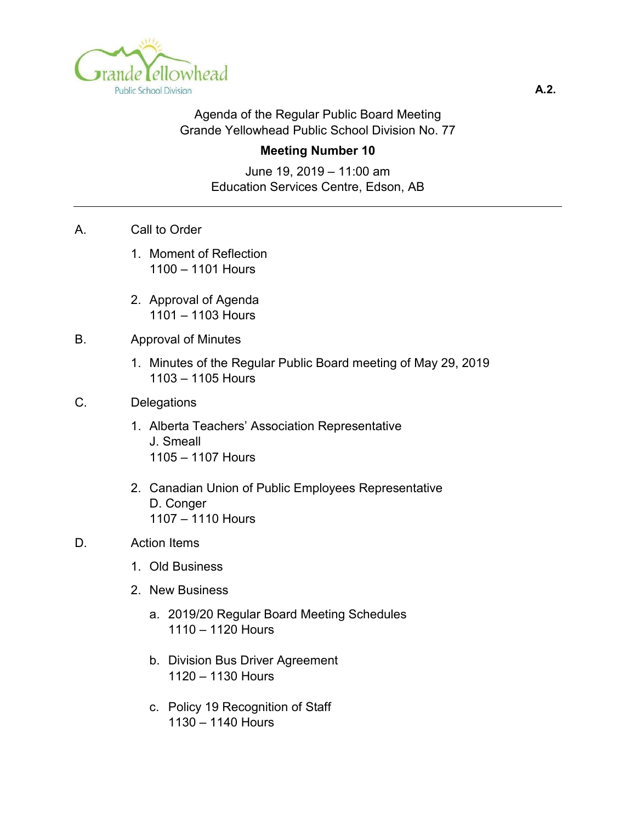

#### Agenda of the Regular Public Board Meeting Grande Yellowhead Public School Division No. 77

#### **Meeting Number 10**

June 19, 2019 – 11:00 am Education Services Centre, Edson, AB

- A. Call to Order
	- 1. Moment of Reflection 1100 – 1101 Hours
	- 2. Approval of Agenda 1101 – 1103 Hours

#### B. Approval of Minutes

1. Minutes of the Regular Public Board meeting of May 29, 2019 1103 – 1105 Hours

#### C. Delegations

- 1. Alberta Teachers' Association Representative J. Smeall 1105 – 1107 Hours
- 2. Canadian Union of Public Employees Representative D. Conger 1107 – 1110 Hours
- D. Action Items
	- 1. Old Business
	- 2. New Business
		- a. 2019/20 Regular Board Meeting Schedules 1110 – 1120 Hours
		- b. Division Bus Driver Agreement 1120 – 1130 Hours
		- c. Policy 19 Recognition of Staff 1130 – 1140 Hours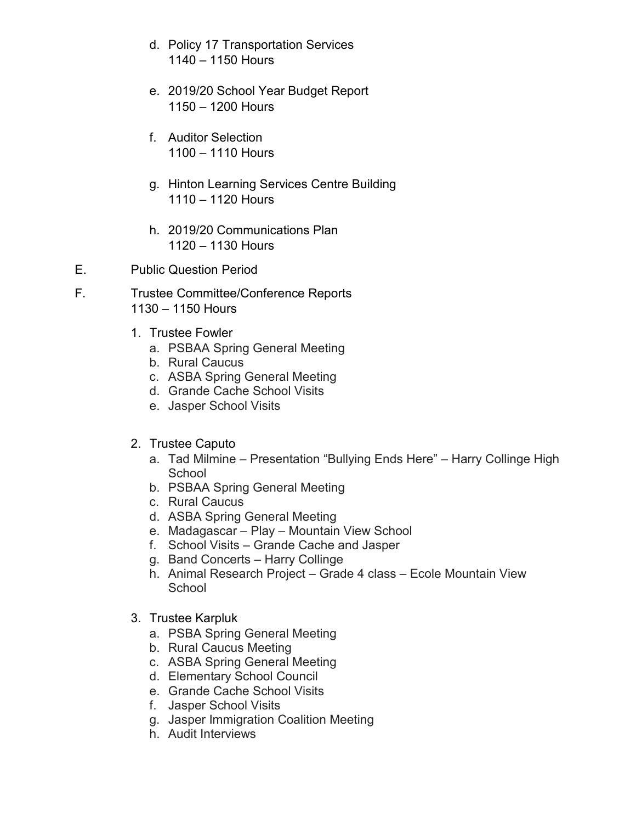- d. Policy 17 Transportation Services 1140 – 1150 Hours
- e. 2019/20 School Year Budget Report 1150 – 1200 Hours
- f. Auditor Selection 1100 – 1110 Hours
- g. Hinton Learning Services Centre Building 1110 – 1120 Hours
- h. 2019/20 Communications Plan 1120 – 1130 Hours
- E. Public Question Period
- F. Trustee Committee/Conference Reports 1130 – 1150 Hours
	- 1. Trustee Fowler
		- a. PSBAA Spring General Meeting
		- b. Rural Caucus
		- c. ASBA Spring General Meeting
		- d. Grande Cache School Visits
		- e. Jasper School Visits
	- 2. Trustee Caputo
		- a. Tad Milmine Presentation "Bullying Ends Here" Harry Collinge High **School**
		- b. PSBAA Spring General Meeting
		- c. Rural Caucus
		- d. ASBA Spring General Meeting
		- e. Madagascar Play Mountain View School
		- f. School Visits Grande Cache and Jasper
		- g. Band Concerts Harry Collinge
		- h. Animal Research Project Grade 4 class Ecole Mountain View **School**
	- 3. Trustee Karpluk
		- a. PSBA Spring General Meeting
		- b. Rural Caucus Meeting
		- c. ASBA Spring General Meeting
		- d. Elementary School Council
		- e. Grande Cache School Visits
		- f. Jasper School Visits
		- g. Jasper Immigration Coalition Meeting
		- h. Audit Interviews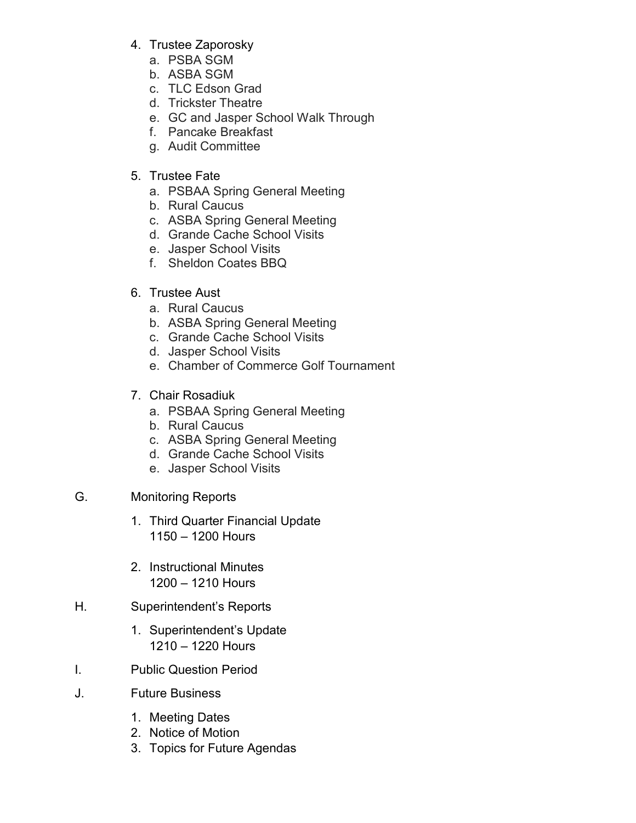- 4. Trustee Zaporosky
	- a. PSBA SGM
	- b. ASBA SGM
	- c. TLC Edson Grad
	- d. Trickster Theatre
	- e. GC and Jasper School Walk Through
	- f. Pancake Breakfast
	- g. Audit Committee

# 5. Trustee Fate

- a. PSBAA Spring General Meeting
- b. Rural Caucus
- c. ASBA Spring General Meeting
- d. Grande Cache School Visits
- e. Jasper School Visits
- f. Sheldon Coates BBQ

# 6. Trustee Aust

- a. Rural Caucus
- b. ASBA Spring General Meeting
- c. Grande Cache School Visits
- d. Jasper School Visits
- e. Chamber of Commerce Golf Tournament
- 7. Chair Rosadiuk
	- a. PSBAA Spring General Meeting
	- b. Rural Caucus
	- c. ASBA Spring General Meeting
	- d. Grande Cache School Visits
	- e. Jasper School Visits

# G. Monitoring Reports

- 1. Third Quarter Financial Update 1150 – 1200 Hours
- 2. Instructional Minutes 1200 – 1210 Hours

# H. Superintendent's Reports

- 1. Superintendent's Update 1210 – 1220 Hours
- I. Public Question Period
- J. Future Business
	- 1. Meeting Dates
	- 2. Notice of Motion
	- 3. Topics for Future Agendas